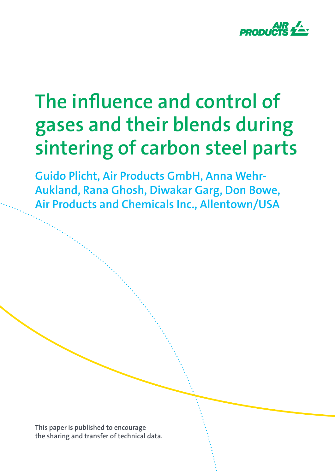

# **The influence and control of gases and their blends during sintering of carbon steel parts**

**Guido Plicht, Air Products GmbH, Anna Wehr-Aukland, Rana Ghosh, Diwakar Garg, Don Bowe, Air Products and Chemicals Inc., Allentown/USA**

**This paper is published to encourage the sharing and transfer of technical data.**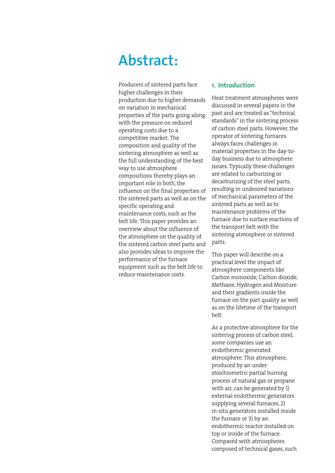# **Abstract:**

Producers of sintered parts face higher challenges in their production due to higher demands on variation in mechanical properties of the parts going along with the pressure on reduced operating costs due to a competitive market. The composition and quality of the sintering atmosphere as well as the full understanding of the best way to use atmosphere compositions thereby plays an important role in both, the influence on the final properties of the sintered parts as well as on the specific operating and maintenance costs, such as the belt life. This paper provides an overview about the influence of the atmosphere on the quality of the sintered carbon steel parts and also provides ideas to improve the performance of the furnace equipment such as the belt life to reduce maintenance costs.

## **1. Introduction**

Heat treatment atmospheres were discussed in several papers in the past and are treated as "technical standards" in the sintering process of carbon steel parts. However, the operator of sintering furnaces always faces challenges in material properties in the day-today business due to atmosphere issues. Typically these challenges are related to carburizing or decarburizing of the steel parts, resulting in undesired variations of mechanical parameters of the sintered parts as well as to maintenance problems of the furnace due to surface reactions of the transport belt with the sintering atmosphere or sintered parts.

This paper will describe on a practical level the impact of atmosphere components like Carbon monoxide, Carbon dioxide, Methane, Hydrogen and Moisture and their gradients inside the furnace on the part quality as well as on the lifetime of the transport belt.

As a protective atmosphere for the sintering process of carbon steel, some companies use an endothermic generated atmosphere. This atmosphere, produced by an under stoichiometric partial burning process of natural gas or propane with air, can be generated by 1) external endothermic generators supplying several furnaces, 2) in-situ generators installed inside the furnace or 3) by an endothermic reactor installed on top or inside of the furnace. Compared with atmospheres composed of technical gases, such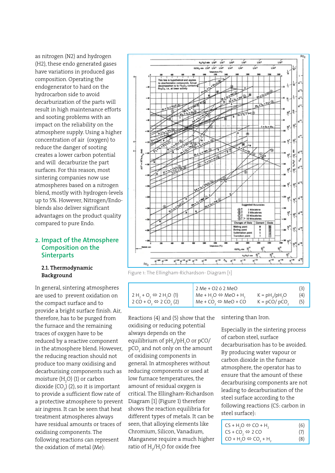as nitrogen (N2) and hydrogen (H2), these endo generated gases have variations in produced gas composition. Operating the endogenerator to hard on the hydrocarbon side to avoid decarburization of the parts will result in high maintenance efforts and sooting problems with an impact on the reliability on the atmosphere supply. Using a higher concentration of air (oxygen) to reduce the danger of sooting creates a lower carbon potential and will decarburize the part surfaces. For this reason, most sintering companies now use atmospheres based on a nitrogen blend, mostly with hydrogen-levels up to 5%. However, Nitrogen/Endoblends also deliver significant advantages on the product quality compared to pure Endo.

# **2. Impact of the Atmosphere Composition on the Sinterparts**

# 2.1. Thermodynamic Background

In general, sintering atmospheres are used to prevent oxidation on the compact surface and to provide a bright surface finish. Air, therefore, has to be purged from the furnace and the remaining traces of oxygen have to be reduced by a reactive component in the atmosphere blend. However, the reducing reaction should not produce too many oxidising and decarburising components such as moisture (H<sub>2</sub>O) (1) or carbon dioxide (CO<sub>2</sub>) (2), so it is important to provide a sufficient flow rate of a protective atmosphere to prevent air ingress. It can be seen that heat treatment atmospheres always have residual amounts or traces of oxidising components. The following reactions can represent the oxidation of metal (Me):



Figure 1: The Ellingham-Richardson- Diagram [1]

|                                        | 2 Me + O2 ó 2 MeO                               |                 |     |
|----------------------------------------|-------------------------------------------------|-----------------|-----|
| $2H_1 + O_2 \Leftrightarrow 2H_1O$ (1) | $M_e + H_2O \Leftrightarrow MeO + H_2$          | $K = pH2/pH2O$  | (4) |
| $2 CO + O2 \Leftrightarrow 2 CO2 (2)$  | Me + CO <sub>2</sub> $\Leftrightarrow$ MeO + CO | $K = pCO/pCO$ , | (5) |

Reactions (4) and (5) show that the oxidising or reducing potential always depends on the equilibrium of  $\rm{pH}_{2}/\rm{pH}_{2}$ O or pCO/ pCO $_{\tiny 2}$  and not only on the amount of oxidising components in general. In atmospheres without reducing components or used at low furnace temperatures, the amount of residual oxygen is critical. The Ellingham-Richardson Diagram [1] (Figure 1) therefore shows the reaction equilibria for different types of metals. It can be seen, that alloying elements like Chromium, Silicon, Vanadium, Manganese require a much higher ratio of  $\mathrm{H}_2/\mathrm{H}_2\mathrm{O}$  for oxide free

sintering than Iron.

Especially in the sintering process of carbon steel, surface decarburisation has to be avoided. By producing water vapour or carbon dioxide in the furnace atmosphere, the operator has to ensure that the amount of these decarburising components are not leading to decarburisation of the steel surface according to the following reactions (CS: carbon in steel surface):

| $CS + H2O \Leftrightarrow CO + H2$            | (6) |
|-----------------------------------------------|-----|
| $CS + CO$ <sub>2</sub> $\Leftrightarrow$ 2 CO | (7) |
| $CO + H2O \Leftrightarrow CO2 + H2$           | (8) |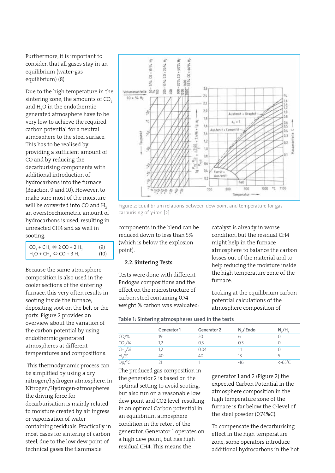Furthermore, it is important to consider, that all gases stay in an equilibrium (water-gas equilibrium) (8)

Due to the high temperature in the sintering zone, the amounts of  $CO<sub>2</sub>$ and  $\rm H_2$ O in the endothermic generated atmosphere have to be very low to achieve the required carbon potential for a neutral atmosphere to the steel surface. This has to be realised by providing a sufficient amount of CO and by reducing the decarburising components with additional introduction of hydrocarbons into the furnace (Reaction 9 and 10). However, to make sure most of the moisture will be converted into CO and H<sub>2</sub> an overstoechiometric amount of hydrocarbons is used, resulting in unreacted CH4 and as well in sooting.

| $CO2 + CH4 \Leftrightarrow 2 CO + 2 H2$ | (9)  |
|-----------------------------------------|------|
| $H_2O + CH_4 \Leftrightarrow CO + 3H_2$ | (10) |

Because the same atmosphere composition is also used in the cooler sections of the sintering furnace, this very often results in sooting inside the furnace, depositing soot on the belt or the parts. Figure 2 provides an overview about the variation of the carbon potential by using endothermic generated atmospheres at different temperatures and compositions.

 This thermodynamic process can be simplified by using a dry nitrogen/hydrogen atmosphere. In Nitrogen/Hydrogen-atmospheres the driving force for decarburisation is mainly related to moisture created by air ingress or vaporisation of water containing residuals. Practically in most cases for sintering of carbon steel, due to the low dew point of technical gases the flammable



Figure 2: Equilibrium relations between dew point and temperature for gas carburising of γ-iron [2]

components in the blend can be reduced down to less than 5% (which is below the explosion point).

#### 2.2. Sintering Tests

Tests were done with different Endogas compositions and the effect on the microstructure of carbon steel containing 0.74 weight % carbon was evaluated: catalyst is already in worse condition, but the residual CH4 might help in the furnace atmosphere to balance the carbon losses out of the material and to help reducing the moisture inside the high temperature zone of the furnace.

Looking at the equilibrium carbon potential calculations of the atmosphere composition of

**Table 1: Sintering atmospheres used in the tests**

|            | Generator 1 | Generator 2 | $N1/$ Endo | $N_x/H$                                          |
|------------|-------------|-------------|------------|--------------------------------------------------|
| $CO/\%$    | 19          | 20          |            |                                                  |
| $CO2/\%$   |             | 0,3         |            |                                                  |
| $CH4/\%$   |             | 0,04        |            |                                                  |
| $H_{1}/\%$ | 40          | 40          |            |                                                  |
| Dp/C       |             |             | $-16$      | $\left. \left< -65\right>^\circ \right.^{\circ}$ |

The produced gas composition in the generator 2 is based on the optimal setting to avoid sooting, but also run on a reasonable low dew point and CO2 level, resulting in an optimal Carbon potential in an equilibrium atmosphere condition in the retort of the generator. Generator 1 operates on a high dew point, but has high residual CH4. This means the

generator 1 and 2 (Figure 2) the expected Carbon Potential in the atmosphere composition in the high temperature zone of the furnace is far below the C-level of the steel powder (0,74%C).

To compensate the decarburising effect in the high temperature zone, some operators introduce additional hydrocarbons in the hot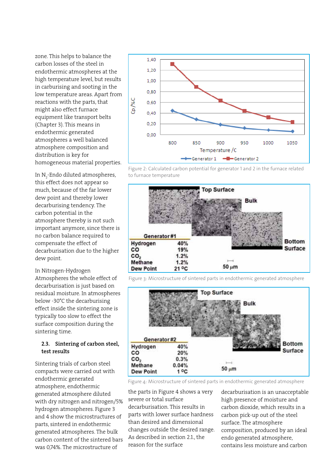zone. This helps to balance the carbon losses of the steel in endothermic atmospheres at the high temperature level, but results in carburising and sooting in the low temperature areas. Apart from reactions with the parts, that might also effect furnace equipment like transport belts (Chapter 3). This means in endothermic generated atmospheres a well balanced atmosphere composition and distribution is key for homogeneous material properties.

In N<sub>2</sub>-Endo diluted atmospheres, this effect does not appear so much, because of the far lower dew point and thereby lower decarburising tendency. The carbon potential in the atmosphere thereby is not such important anymore, since there is no carbon balance required to compensate the effect of decarburisation due to the higher dew point.

In Nitrogen-Hydrogen

Atmospheres the whole effect of decarburisation is just based on residual moisture. In atmospheres below -30°C the decarburising effect inside the sintering zone is typically too slow to effect the surface composition during the sintering time.

# 2.3. Sintering of carbon steel, test results

Sintering trials of carbon steel compacts were carried out with endothermic generated atmosphere, endothermic generated atmosphere diluted with dry nitrogen and nitrogen/5% hydrogen atmospheres. Figure 3 and 4 show the microstructures of parts, sintered in endothermic generated atmospheres. The bulk carbon content of the sintered bars was 0,74%. The microstructure of



Figure 2: Calculated carbon potential for generator 1 and 2 in the furnace related to furnace temperature



Figure 3: Microstructure of sintered parts in endothermic generated atmosphere



Figure 4: Microstructure of sintered parts in endothermic generated atmosphere

the parts in Figure 4 shows a very severe or total surface decarburisation. This results in parts with lower surface hardness than desired and dimensional changes outside the desired range. As described in section 2.1., the reason for the surface

decarburisation is an unacceptable high presence of moisture and carbon dioxide, which results in a carbon pick-up out of the steel surface. The atmosphere composition, produced by an ideal endo generated atmosphere, contains less moisture and carbon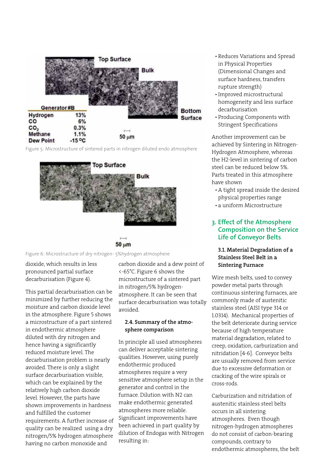

Figure 5: Microstructure of sintered parts in nitrogen diluted endo atmosphere



50 um

Figure 6: Microstructure of dry nitrogen- 5%hydrogen atmosphere

dioxide, which results in less pronounced partial surface decarburisation (Figure 4).

This partial decarburisation can be minimized by further reducing the moisture and carbon dioxide level in the atmosphere. Figure 5 shows a microstructure of a part sintered in endothermic atmosphere diluted with dry nitrogen and hence having a significantly reduced moisture level. The decarburisation problem is nearly avoided. There is only a slight surface decarburisation visible, which can be explained by the relatively high carbon dioxide level. However, the parts have shown improvements in hardness and fulfilled the customer requirements. A further increase of quality can be realized using a dry nitrogen/5% hydrogen atmosphere having no carbon monoxide and

carbon dioxide and a dew point of <-65°C. Figure 6 shows the microstructure of a sintered part in nitrogen/5% hydrogenatmosphere. It can be seen that surface decarburisation was totally avoided.

#### 2.4. Summary of the atmosphere comparison

In principle all used atmospheres can deliver acceptable sintering qualities. However, using purely endothermic produced atmospheres require a very sensitive atmosphere setup in the generator and control in the furnace. Dilution with N2 can make endothermic generated atmospheres more reliable. Significant improvements have been achieved in part quality by dilution of Endogas with Nitrogen resulting in:

- • Reduces Variations and Spread in Physical Properties (Dimensional Changes and surface hardness, transfers rupture strength)
- • Improved microstructural homogeneity and less surface decarburisation
- • Producing Components with Stringent Specifications

Another improvement can be achieved by Sintering in Nitrogen-Hydrogen Atmosphere, whereas the H2-level in sintering of carbon steel can be reduced below 5%. Parts treated in this atmosphere have shown

- A tight spread inside the desired physical properties range
- • a uniform Microstructure

# **3. Effect of the Atmosphere Composition on the Service Life of Conveyor Belts**

# 3.1. Material Degradation of a Stainless Steel Belt in a Sintering Furnace

Wire mesh belts, used to convey powder metal parts through continuous sintering furnaces, are commonly made of austenitic stainless steel (AISI type 314 or 1.0314). Mechanical properties of the belt deteriorate during service because of high temperature material degradation, related to creep, oxidation, carburization and nitridation [4-6]. Conveyor belts are usually removed from service due to excessive deformation or cracking of the wire spirals or cross-rods.

Carburization and nitridation of austenitic stainless steel belts occurs in all sintering atmospheres. Even though nitrogen-hydrogen atmospheres do not consist of carbon-bearing compounds, contrary to endothermic atmospheres, the belt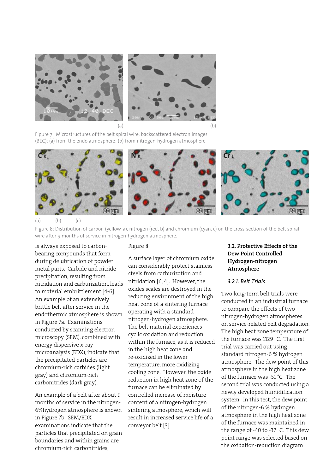

Figure 7: Microstructures of the belt spiral wire, backscattered electron images (BEC): (a) from the endo atmosphere; (b) from nitrogen-hydrogen atmosphere



 $(b)$   $(c)$ 

Figure 8: Distribution of carbon (yellow, a), nitrogen (red, b) and chromium (cyan, c) on the cross-section of the belt spiral wire after 9 months of service in nitrogen-hydrogen atmosphere.

is always exposed to carbonbearing compounds that form during delubrication of powder metal parts. Carbide and nitride precipitation, resulting from nitridation and carburization, leads to material embrittlement [4-6]. An example of an extensively brittle belt after service in the endothermic atmosphere is shown in Figure 7a. Examinations conducted by scanning electron microscopy (SEM), combined with energy dispersive x-ray microanalysis (EDX), indicate that the precipitated particles are chromium-rich carbides (light gray) and chromium-rich carbonitrides (dark gray).

An example of a belt after about 9 months of service in the nitrogen-6%hydrogen atmosphere is shown in Figure 7b. SEM/EDX examinations indicate that the particles that precipitated on grain boundaries and within grains are chromium-rich carbonitrides,

#### Figure 8.

A surface layer of chromium oxide can considerably protect stainless steels from carburization and nitridation [6, 4]. However, the oxides scales are destroyed in the reducing environment of the high heat zone of a sintering furnace operating with a standard nitrogen-hydrogen atmosphere. The belt material experiences cyclic oxidation and reduction within the furnace, as it is reduced in the high heat zone and re-oxidized in the lower temperature, more oxidizing cooling zone. However, the oxide reduction in high heat zone of the furnace can be eliminated by controlled increase of moisture content of a nitrogen-hydrogen sintering atmosphere, which will result in increased service life of a conveyor belt [3].

# 3.2. Protective Effects of the Dew Point Controlled Hydrogen-nitrogen Atmosphere

#### *3.2.1. Belt Trials*

Two long-term belt trials were conducted in an industrial furnace to compare the effects of two nitrogen-hydrogen atmospheres on service-related belt degradation. The high heat zone temperature of the furnace was 1129 °C. The first trial was carried out using standard nitrogen-6 % hydrogen atmosphere. The dew point of this atmosphere in the high heat zone of the furnace was -51 °C. The second trial was conducted using a newly developed humidification system. In this test, the dew point of the nitrogen-6 % hydrogen atmosphere in the high heat zone of the furnace was maintained in the range of -40 to -37 °C. This dew point range was selected based on the oxidation-reduction diagram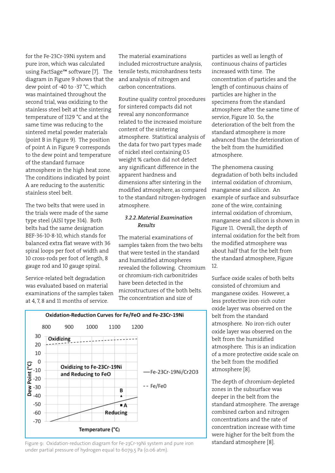for the Fe-23Cr-19Ni system and pure iron, which was calculated using FactSage™ software [7]. The diagram in Figure 9 shows that the dew point of -40 to -37 °C, which was maintained throughout the second trial, was oxidizing to the stainless steel belt at the sintering temperature of 1129 °C and at the same time was reducing to the sintered metal powder materials (point B in Figure 9). The position of point A in Figure 9 corresponds to the dew point and temperature of the standard furnace atmosphere in the high heat zone. The conditions indicated by point A are reducing to the austenitic stainless steel belt.

The two belts that were used in the trials were made of the same type steel (AISI type 314). Both belts had the same designation BEF-36-10-8-10, which stands for balanced extra flat weave with 36 spiral loops per foot of width and 10 cross-rods per foot of length, 8 gauge rod and 10 gauge spiral.

Service-related belt degradation was evaluated based on material examinations of the samples taken at 4, 7, 8 and 11 months of service.

The material examinations included microstructure analysis, tensile tests, microhardness tests and analysis of nitrogen and carbon concentrations.

Routine quality control procedures for sintered compacts did not reveal any nonconformance related to the increased moisture content of the sintering atmosphere. Statistical analysis of the data for two part types made of nickel steel containing 0.5 weight % carbon did not detect any significant difference in the apparent hardness and dimensions after sintering in the modified atmosphere, as compared to the standard nitrogen-hydrogen atmosphere.

#### *3.2.2.Material Examination Results*

The material examinations of samples taken from the two belts that were tested in the standard and humidified atmospheres revealed the following. Chromium or chromium-rich carbonitrides have been detected in the microstructures of the both belts. The concentration and size of

particles as well as length of continuous chains of particles increased with time. The concentration of particles and the length of continuous chains of particles are higher in the specimens from the standard atmosphere after the same time of service, Figure 10. So, the deterioration of the belt from the standard atmosphere is more advanced than the deterioration of the belt from the humidified atmosphere.

The phenomena causing degradation of both belts included internal oxidation of chromium, manganese and silicon. An example of surface and subsurface zone of the wire, containing internal oxidation of chromium, manganese and silicon is shown in Figure 11. Overall, the depth of internal oxidation for the belt from the modified atmosphere was about half that for the belt from the standard atmosphere, Figure 12.

Surface oxide scales of both belts consisted of chromium and manganese oxides. However, a less protective iron-rich outer oxide layer was observed on the belt from the standard atmosphere. No iron-rich outer oxide layer was observed on the belt from the humidified atmosphere. This is an indication of a more protective oxide scale on the belt from the modified atmosphere [8].

The depth of chromium-depleted zones in the subsurface was deeper in the belt from the standard atmosphere. The average combined carbon and nitrogen concentrations and the rate of concentration increase with time were higher for the belt from the



Figure 9: Oxidation-reduction diagram for Fe-23Cr-19Ni system and pure iron standard atmosphere [8]. under partial pressure of hydrogen equal to 6079.5 Pa (0.06 atm).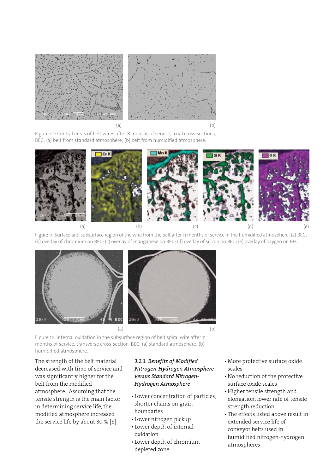

Figure 10: Central areas of belt wires after 8 months of service, axial cross-sections, BEC: (a) belt from standard atmosphere; (b) belt from humidified atmosphere.



Figure 11: Surface and subsurface region of the wire from the belt after 11 months of service in the humidified atmosphere: (a) BEC; (b) overlay of chromium on BEC; (c) overlay of manganese on BEC; (d) overlay of silicon on BEC; (e) overlay of oxygen on BEC.



Figure 12: Internal oxidation in the subsurface region of belt spiral wire after 11 months of service, transverse cross-section, BEC: (a) standard atmosphere; (b) humidified atmosphere.

The strength of the belt material decreased with time of service and was significantly higher for the belt from the modified atmosphere. Assuming that the tensile strength is the main factor in determining service life, the modified atmosphere increased the service life by about 30 % [8].

# *3.2.3. Benefits of Modified Nitrogen-Hydrogen Atmosphere versus Standard Nitrogen-Hydrogen Atmosphere*

- • Lower concentration of particles; shorter chains on grain boundaries
- • Lower nitrogen pickup
- • Lower depth of internal oxidation
- • Lower depth of chromiumdepleted zone
- • More protective surface oxide scales
- • No reduction of the protective surface oxide scales
- • Higher tensile strength and elongation; lower rate of tensile strength reduction
- The effects listed above result in extended service life of conveyor belts used in humidified nitrogen-hydrogen atmospheres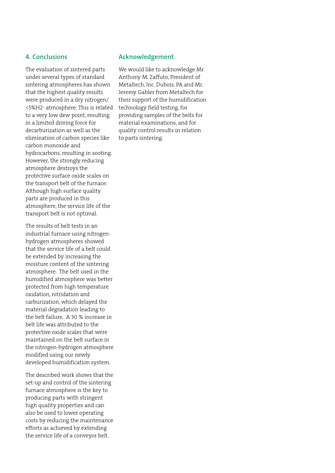### **4. Conclusions**

The evaluation of sintered parts under several types of standard sintering atmospheres has shown that the highest quality results were produced in a dry nitrogen/ <5%H2- atmosphere. This is related to a very low dew point, resulting in a limited driving force for decarburization as well as the elimination of carbon species like carbon monoxide and hydrocarbons, resulting in sooting. However, the strongly reducing atmosphere destroys the protective surface oxide scales on the transport belt of the furnace. Although high surface quality parts are produced in this atmosphere, the service life of the transport belt is not optimal.

The results of belt tests in an industrial furnace using nitrogenhydrogen atmospheres showed that the service life of a belt could be extended by increasing the moisture content of the sintering atmosphere. The belt used in the humidified atmosphere was better protected from high temperature oxidation, nitridation and carburization, which delayed the material degradation leading to the belt failure. A 30 % increase in belt life was attributed to the protective oxide scales that were maintained on the belt surface in the nitrogen-hydrogen atmosphere modified using our newly developed humidification system.

The described work shows that the set-up and control of the sintering furnace atmosphere is the key to producing parts with stringent high quality properties and can also be used to lower operating costs by reducing the maintenance efforts as achieved by extending the service life of a conveyor belt.

#### **Acknowledgement**

We would like to acknowledge Mr. Anthony M. Zaffuto, President of Metaltech, Inc. Dubois, PA and Mr. Jeremy Gabler from Metaltech for their support of the humidification technology field testing, for providing samples of the belts for material examinations, and for quality control results in relation to parts sintering.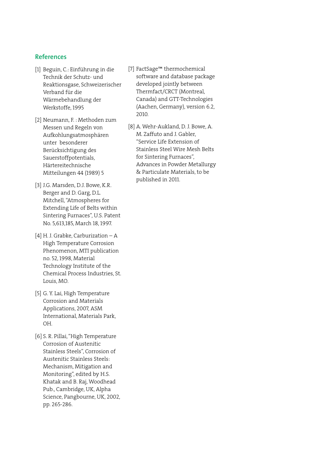# **References**

- [1] Beguin, C.: Einführung in die Technik der Schutz- und Reaktionsgase, Schweizerischer Verband für die Wärmebehandlung der Werkstoffe, 1995
- [2] Neumann, F. : Methoden zum Messen und Regeln von Aufkohlungsatmosphären unter besonderer Berücksichtigung des Sauerstoffpotentials, Härtereitechnische Mitteilungen 44 (1989) 5
- [3] J.G. Marsden, D.J. Bowe, K.R. Berger and D. Garg, D.L. Mitchell, "Atmospheres for Extending Life of Belts within Sintering Furnaces", U.S. Patent No. 5,613,185, March 18, 1997.
- [4] H. J. Grabke, Carburization A High Temperature Corrosion Phenomenon, MTI publication no. 52, 1998, Material Technology Institute of the Chemical Process Industries, St. Louis, MO.
- [5] G. Y. Lai, High Temperature Corrosion and Materials Applications, 2007, ASM International, Materials Park, OH.
- [6] S. R. Pillai, "High Temperature Corrosion of Austenitic Stainless Steels", Corrosion of Austenitic Stainless Steels: Mechanism, Mitigation and Monitoring", edited by H.S. Khatak and B. Raj, Woodhead Pub., Cambridge, UK, Alpha Science, Pangbourne, UK, 2002, pp. 265-286.
- [7] FactSage™ thermochemical software and database package developed jointly between Thermfact/CRCT (Montreal, Canada) and GTT-Technologies (Aachen, Germany), version 6.2, 2010.
- [8] A. Wehr-Aukland, D. J. Bowe, A. M. Zaffuto and J. Gabler, "Service Life Extension of Stainless Steel Wire Mesh Belts for Sintering Furnaces", Advances in Powder Metallurgy & Particulate Materials, to be published in 2011.